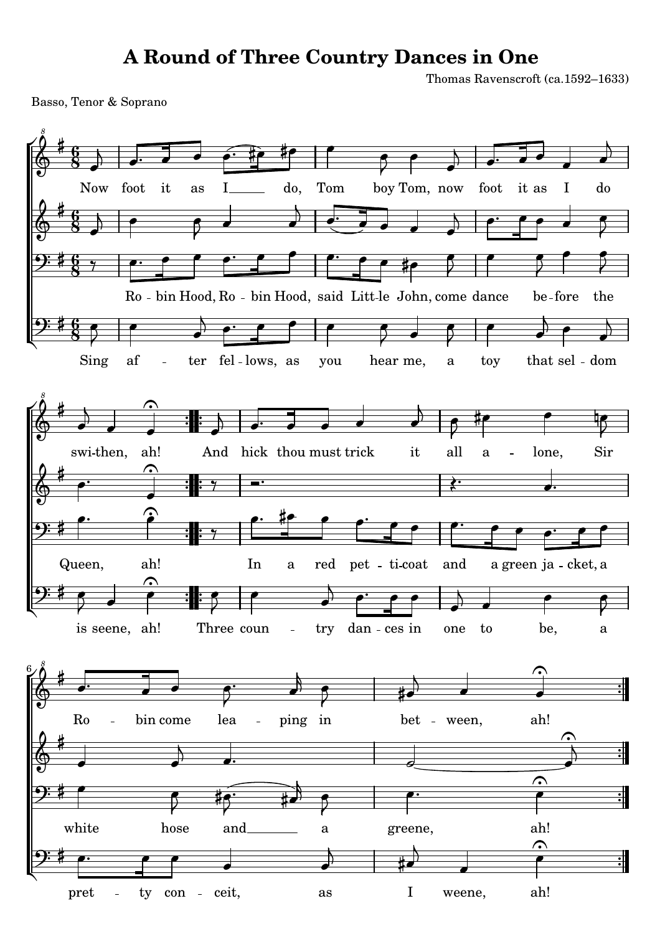## **A Round of Three Country Dances in One**

Thomas Ravenscroft (ca.1592–1633)

Basso, Tenor & Soprano